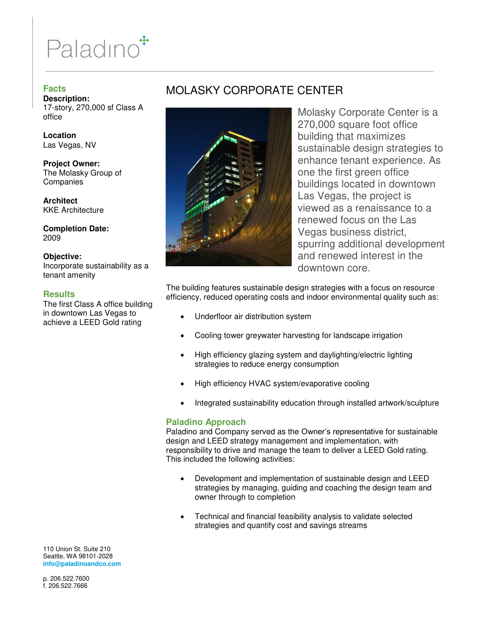# Paladino<sup>\*</sup>

## **Facts**

**Description:**  17-story, 270,000 sf Class A office

**Location**  Las Vegas, NV

**Project Owner:**  The Molasky Group of **Companies** 

**Architect**  KKE Architecture

**Completion Date:**  2009

### **Objective:**

Incorporate sustainability as a tenant amenity

### **Results**

The first Class A office building in downtown Las Vegas to achieve a LEED Gold rating

## MOLASKY CORPORATE CENTER



Molasky Corporate Center is a 270,000 square foot office building that maximizes sustainable design strategies to enhance tenant experience. As one the first green office buildings located in downtown Las Vegas, the project is viewed as a renaissance to a renewed focus on the Las Vegas business district, spurring additional development and renewed interest in the downtown core.

The building features sustainable design strategies with a focus on resource efficiency, reduced operating costs and indoor environmental quality such as:

- Underfloor air distribution system
- Cooling tower greywater harvesting for landscape irrigation
- High efficiency glazing system and daylighting/electric lighting strategies to reduce energy consumption
- High efficiency HVAC system/evaporative cooling
- Integrated sustainability education through installed artwork/sculpture

### **Paladino Approach**

Paladino and Company served as the Owner's representative for sustainable design and LEED strategy management and implementation, with responsibility to drive and manage the team to deliver a LEED Gold rating. This included the following activities:

- Development and implementation of sustainable design and LEED strategies by managing, guiding and coaching the design team and owner through to completion
- Technical and financial feasibility analysis to validate selected strategies and quantify cost and savings streams

110 Union St. Suite 210 Seattle, WA 98101-2028 **info@paladinoandco.com** 

p. 206.522.7600 f. 206.522.7666